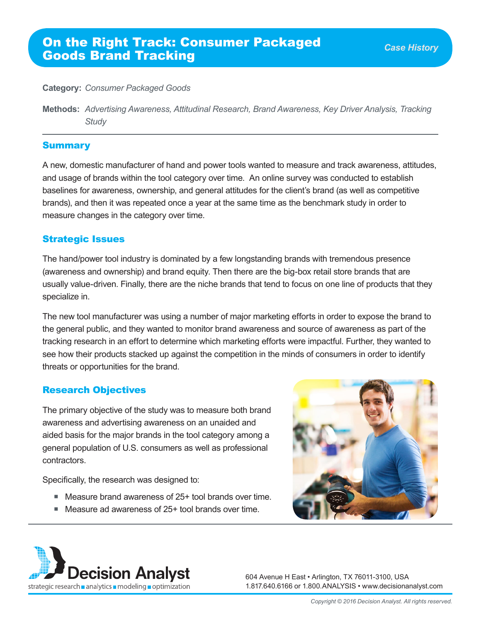#### **Category:** *Consumer Packaged Goods*

**Methods:** *Advertising Awareness, Attitudinal Research, Brand Awareness, Key Driver Analysis, Tracking Study* 

#### Summary

A new, domestic manufacturer of hand and power tools wanted to measure and track awareness, attitudes, and usage of brands within the tool category over time. An online survey was conducted to establish baselines for awareness, ownership, and general attitudes for the client's brand (as well as competitive brands), and then it was repeated once a year at the same time as the benchmark study in order to measure changes in the category over time.

### Strategic Issues

The hand/power tool industry is dominated by a few longstanding brands with tremendous presence (awareness and ownership) and brand equity. Then there are the big-box retail store brands that are usually value-driven. Finally, there are the niche brands that tend to focus on one line of products that they specialize in.

The new tool manufacturer was using a number of major marketing efforts in order to expose the brand to the general public, and they wanted to monitor brand awareness and source of awareness as part of the tracking research in an effort to determine which marketing efforts were impactful. Further, they wanted to see how their products stacked up against the competition in the minds of consumers in order to identify threats or opportunities for the brand.

## Research Objectives

The primary objective of the study was to measure both brand awareness and advertising awareness on an unaided and aided basis for the major brands in the tool category among a general population of U.S. consumers as well as professional contractors.

Specifically, the research was designed to:

- Measure brand awareness of 25+ tool brands over time.
- Measure ad awareness of 25+ tool brands over time.





604 Avenue H East • Arlington, TX 76011-3100, USA 1.817.640.6166 or 1.800.ANALYSIS • www.decisionanalyst.com